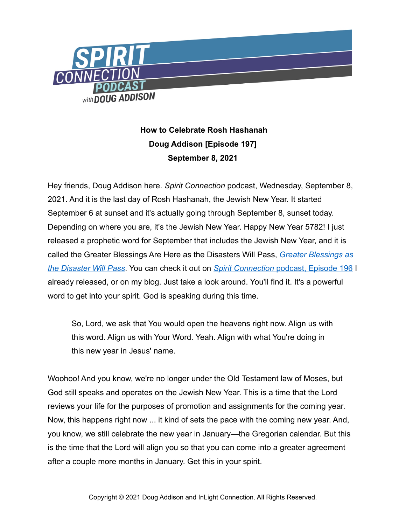

## **How to Celebrate Rosh Hashanah Doug Addison [Episode 197] September 8, 2021**

Hey friends, Doug Addison here. *Spirit Connection* podcast, Wednesday, September 8, 2021. And it is the last day of Rosh Hashanah, the Jewish New Year. It started September 6 at sunset and it's actually going through September 8, sunset today. Depending on where you are, it's the Jewish New Year. Happy New Year 5782! I just released a prophetic word for September that includes the Jewish New Year, and it is called the Greater Blessings Are Here as the Disasters Will Pass, *[Greater Blessings as](https://dougaddison.com/2021/09/prophetic-word-greater-blessings-as-the-disasters-will-pass-episode-196/)  [the Disaster Will Pass](https://dougaddison.com/2021/09/prophetic-word-greater-blessings-as-the-disasters-will-pass-episode-196/)*. You can check it out on *Spirit Connection* [podcast, Episode 196](https://dougaddison.com/2021/09/prophetic-word-greater-blessings-as-the-disasters-will-pass-episode-196/) I already released, or on my blog. Just take a look around. You'll find it. It's a powerful word to get into your spirit. God is speaking during this time.

So, Lord, we ask that You would open the heavens right now. Align us with this word. Align us with Your Word. Yeah. Align with what You're doing in this new year in Jesus' name.

Woohoo! And you know, we're no longer under the Old Testament law of Moses, but God still speaks and operates on the Jewish New Year. This is a time that the Lord reviews your life for the purposes of promotion and assignments for the coming year. Now, this happens right now ... it kind of sets the pace with the coming new year. And, you know, we still celebrate the new year in January—the Gregorian calendar. But this is the time that the Lord will align you so that you can come into a greater agreement after a couple more months in January. Get this in your spirit.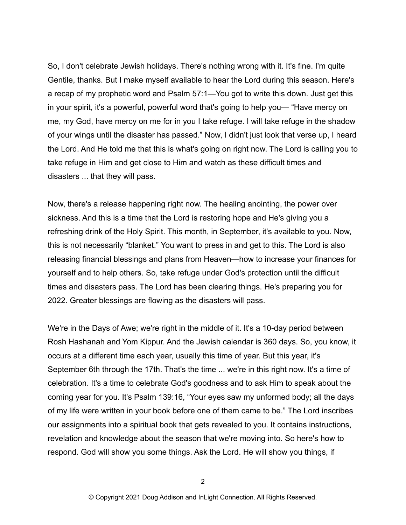So, I don't celebrate Jewish holidays. There's nothing wrong with it. It's fine. I'm quite Gentile, thanks. But I make myself available to hear the Lord during this season. Here's a recap of my prophetic word and Psalm 57:1—You got to write this down. Just get this in your spirit, it's a powerful, powerful word that's going to help you— "Have mercy on me, my God, have mercy on me for in you I take refuge. I will take refuge in the shadow of your wings until the disaster has passed." Now, I didn't just look that verse up, I heard the Lord. And He told me that this is what's going on right now. The Lord is calling you to take refuge in Him and get close to Him and watch as these difficult times and disasters ... that they will pass.

Now, there's a release happening right now. The healing anointing, the power over sickness. And this is a time that the Lord is restoring hope and He's giving you a refreshing drink of the Holy Spirit. This month, in September, it's available to you. Now, this is not necessarily "blanket." You want to press in and get to this. The Lord is also releasing financial blessings and plans from Heaven—how to increase your finances for yourself and to help others. So, take refuge under God's protection until the difficult times and disasters pass. The Lord has been clearing things. He's preparing you for 2022. Greater blessings are flowing as the disasters will pass.

We're in the Days of Awe; we're right in the middle of it. It's a 10-day period between Rosh Hashanah and Yom Kippur. And the Jewish calendar is 360 days. So, you know, it occurs at a different time each year, usually this time of year. But this year, it's September 6th through the 17th. That's the time ... we're in this right now. It's a time of celebration. It's a time to celebrate God's goodness and to ask Him to speak about the coming year for you. It's Psalm 139:16, "Your eyes saw my unformed body; all the days of my life were written in your book before one of them came to be." The Lord inscribes our assignments into a spiritual book that gets revealed to you. It contains instructions, revelation and knowledge about the season that we're moving into. So here's how to respond. God will show you some things. Ask the Lord. He will show you things, if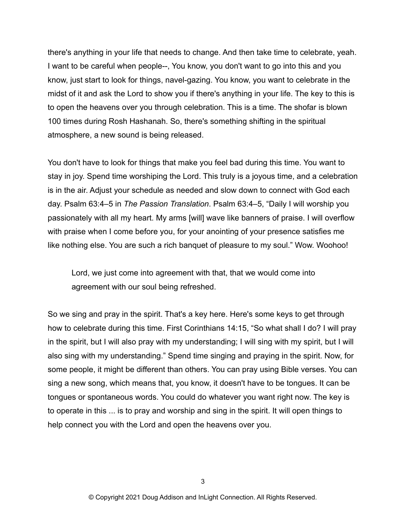there's anything in your life that needs to change. And then take time to celebrate, yeah. I want to be careful when people--, You know, you don't want to go into this and you know, just start to look for things, navel-gazing. You know, you want to celebrate in the midst of it and ask the Lord to show you if there's anything in your life. The key to this is to open the heavens over you through celebration. This is a time. The shofar is blown 100 times during Rosh Hashanah. So, there's something shifting in the spiritual atmosphere, a new sound is being released.

You don't have to look for things that make you feel bad during this time. You want to stay in joy. Spend time worshiping the Lord. This truly is a joyous time, and a celebration is in the air. Adjust your schedule as needed and slow down to connect with God each day. Psalm 63:4–5 in *The Passion Translation*. Psalm 63:4–5, "Daily I will worship you passionately with all my heart. My arms [will] wave like banners of praise. I will overflow with praise when I come before you, for your anointing of your presence satisfies me like nothing else. You are such a rich banquet of pleasure to my soul." Wow. Woohoo!

Lord, we just come into agreement with that, that we would come into agreement with our soul being refreshed.

So we sing and pray in the spirit. That's a key here. Here's some keys to get through how to celebrate during this time. First Corinthians 14:15, "So what shall I do? I will pray in the spirit, but I will also pray with my understanding; I will sing with my spirit, but I will also sing with my understanding." Spend time singing and praying in the spirit. Now, for some people, it might be different than others. You can pray using Bible verses. You can sing a new song, which means that, you know, it doesn't have to be tongues. It can be tongues or spontaneous words. You could do whatever you want right now. The key is to operate in this ... is to pray and worship and sing in the spirit. It will open things to help connect you with the Lord and open the heavens over you.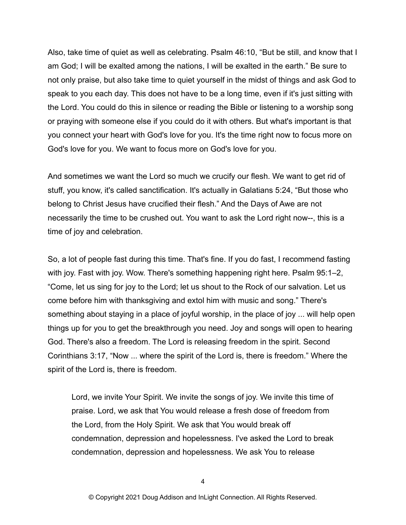Also, take time of quiet as well as celebrating. Psalm 46:10, "But be still, and know that I am God; I will be exalted among the nations, I will be exalted in the earth." Be sure to not only praise, but also take time to quiet yourself in the midst of things and ask God to speak to you each day. This does not have to be a long time, even if it's just sitting with the Lord. You could do this in silence or reading the Bible or listening to a worship song or praying with someone else if you could do it with others. But what's important is that you connect your heart with God's love for you. It's the time right now to focus more on God's love for you. We want to focus more on God's love for you.

And sometimes we want the Lord so much we crucify our flesh. We want to get rid of stuff, you know, it's called sanctification. It's actually in Galatians 5:24, "But those who belong to Christ Jesus have crucified their flesh." And the Days of Awe are not necessarily the time to be crushed out. You want to ask the Lord right now--, this is a time of joy and celebration.

So, a lot of people fast during this time. That's fine. If you do fast, I recommend fasting with joy. Fast with joy. Wow. There's something happening right here. Psalm 95:1–2, "Come, let us sing for joy to the Lord; let us shout to the Rock of our salvation. Let us come before him with thanksgiving and extol him with music and song." There's something about staying in a place of joyful worship, in the place of joy ... will help open things up for you to get the breakthrough you need. Joy and songs will open to hearing God. There's also a freedom. The Lord is releasing freedom in the spirit. Second Corinthians 3:17, "Now ... where the spirit of the Lord is, there is freedom." Where the spirit of the Lord is, there is freedom.

Lord, we invite Your Spirit. We invite the songs of joy. We invite this time of praise. Lord, we ask that You would release a fresh dose of freedom from the Lord, from the Holy Spirit. We ask that You would break off condemnation, depression and hopelessness. I've asked the Lord to break condemnation, depression and hopelessness. We ask You to release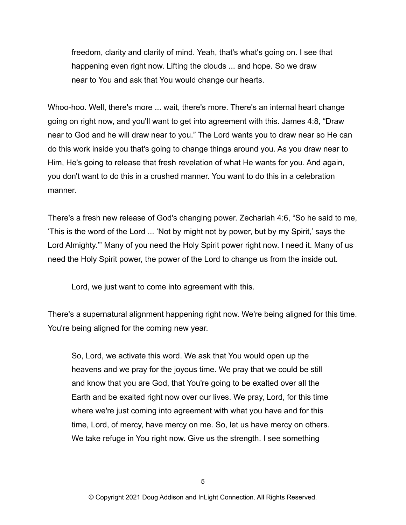freedom, clarity and clarity of mind. Yeah, that's what's going on. I see that happening even right now. Lifting the clouds ... and hope. So we draw near to You and ask that You would change our hearts.

Whoo-hoo. Well, there's more ... wait, there's more. There's an internal heart change going on right now, and you'll want to get into agreement with this. James 4:8, "Draw near to God and he will draw near to you." The Lord wants you to draw near so He can do this work inside you that's going to change things around you. As you draw near to Him, He's going to release that fresh revelation of what He wants for you. And again, you don't want to do this in a crushed manner. You want to do this in a celebration manner.

There's a fresh new release of God's changing power. Zechariah 4:6, "So he said to me, 'This is the word of the Lord ... 'Not by might not by power, but by my Spirit,' says the Lord Almighty.'" Many of you need the Holy Spirit power right now. I need it. Many of us need the Holy Spirit power, the power of the Lord to change us from the inside out.

Lord, we just want to come into agreement with this.

There's a supernatural alignment happening right now. We're being aligned for this time. You're being aligned for the coming new year.

So, Lord, we activate this word. We ask that You would open up the heavens and we pray for the joyous time. We pray that we could be still and know that you are God, that You're going to be exalted over all the Earth and be exalted right now over our lives. We pray, Lord, for this time where we're just coming into agreement with what you have and for this time, Lord, of mercy, have mercy on me. So, let us have mercy on others. We take refuge in You right now. Give us the strength. I see something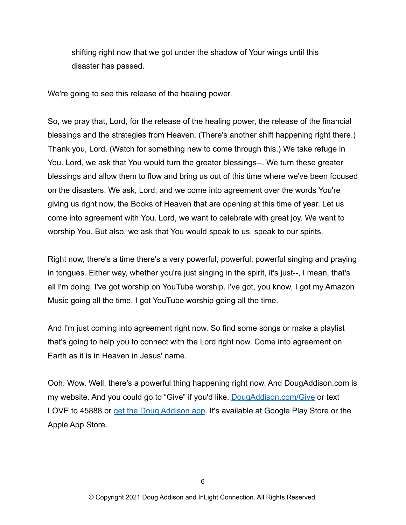shifting right now that we got under the shadow of Your wings until this disaster has passed.

We're going to see this release of the healing power.

So, we pray that, Lord, for the release of the healing power, the release of the financial blessings and the strategies from Heaven. (There's another shift happening right there.) Thank you, Lord. (Watch for something new to come through this.) We take refuge in You. Lord, we ask that You would turn the greater blessings--. We turn these greater blessings and allow them to flow and bring us out of this time where we've been focused on the disasters. We ask, Lord, and we come into agreement over the words You're giving us right now, the Books of Heaven that are opening at this time of year. Let us come into agreement with You. Lord, we want to celebrate with great joy. We want to worship You. But also, we ask that You would speak to us, speak to our spirits.

Right now, there's a time there's a very powerful, powerful, powerful singing and praying in tongues. Either way, whether you're just singing in the spirit, it's just--, I mean, that's all I'm doing. I've got worship on YouTube worship. I've got, you know, I got my Amazon Music going all the time. I got YouTube worship going all the time.

And I'm just coming into agreement right now. So find some songs or make a playlist that's going to help you to connect with the Lord right now. Come into agreement on Earth as it is in Heaven in Jesus' name.

Ooh. Wow. Well, there's a powerful thing happening right now. And DougAddison.com is my website. And you could go to "Give" if you'd like. [DougAddison.com/Give](https://dougaddison.com/partner-with-inlight/) or text LOVE to 45888 or [get the Doug Addison app.](https://subsplash.com/inlightconnection/app) It's available at Google Play Store or the Apple App Store.